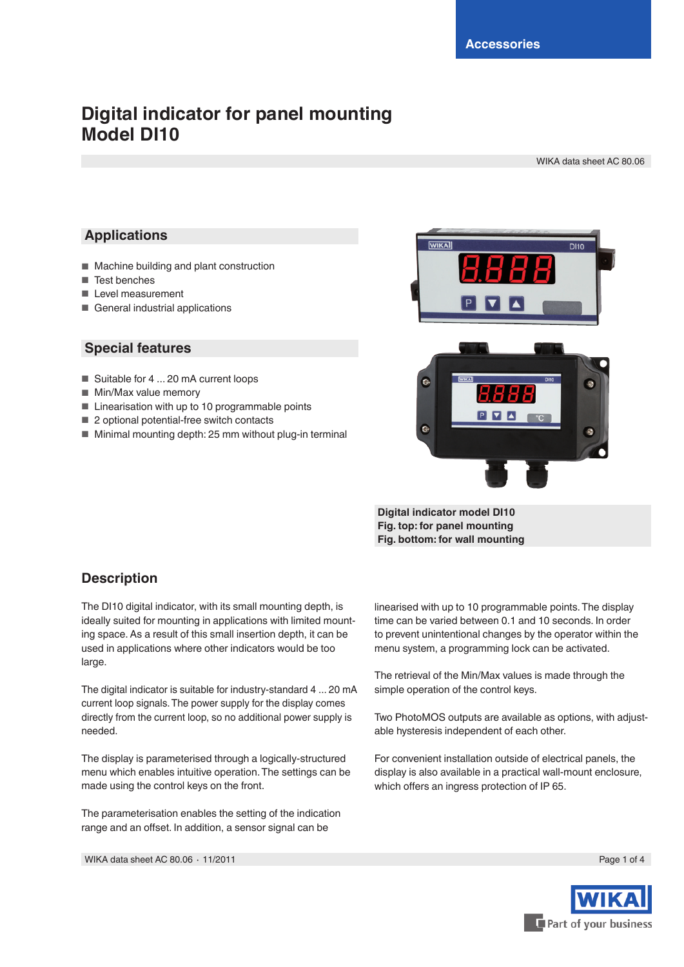# **Digital indicator for panel mounting Model DI10**

WIKA data sheet AC 80.06

#### **Applications**

- Machine building and plant construction
- Test benches
- Level measurement
- General industrial applications

#### **Special features**

- Suitable for 4 ... 20 mA current loops
- Min/Max value memory
- Linearisation with up to 10 programmable points
- 2 optional potential-free switch contacts
- Minimal mounting depth: 25 mm without plug-in terminal



**Digital indicator model DI10 Fig. top: for panel mounting Fig. bottom: for wall mounting**

#### **Description**

The DI10 digital indicator, with its small mounting depth, is ideally suited for mounting in applications with limited mounting space. As a result of this small insertion depth, it can be used in applications where other indicators would be too large.

The digital indicator is suitable for industry-standard 4 ... 20 mA current loop signals.The power supply for the display comes directly from the current loop, so no additional power supply is needed.

The display is parameterised through a logically-structured menu which enables intuitive operation.The settings can be made using the control keys on the front.

The parameterisation enables the setting of the indication range and an offset. In addition, a sensor signal can be

linearised with up to 10 programmable points.The display time can be varied between 0.1 and 10 seconds. In order to prevent unintentional changes by the operator within the menu system, a programming lock can be activated.

The retrieval of the Min/Max values is made through the simple operation of the control keys.

Two PhotoMOS outputs are available as options, with adjustable hysteresis independent of each other.

For convenient installation outside of electrical panels, the display is also available in a practical wall-mount enclosure, which offers an ingress protection of IP 65.

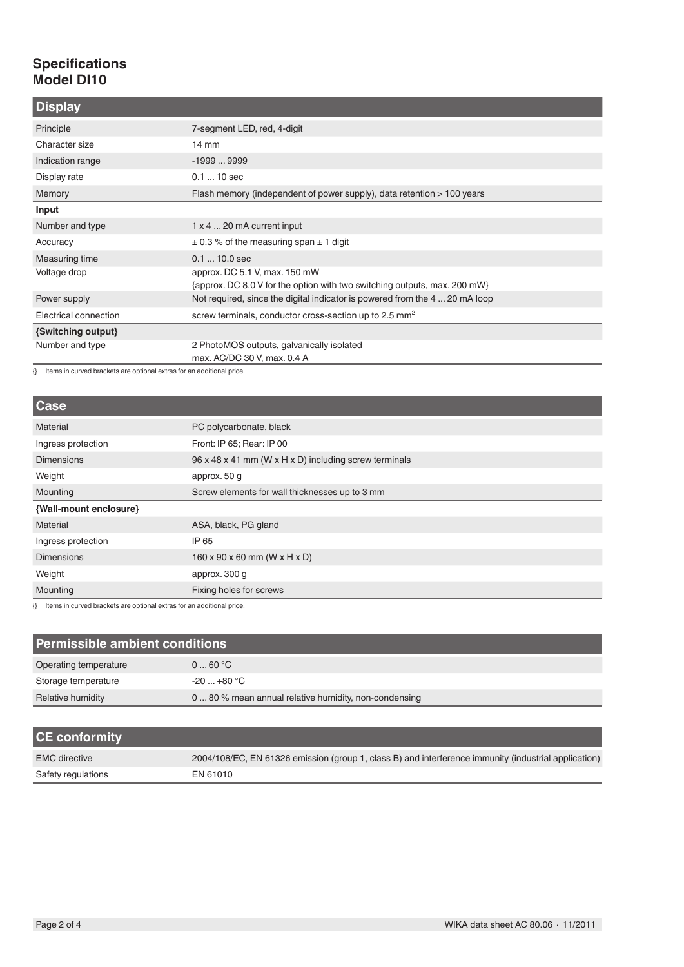## **Specifications Model DI10**

| <b>Display</b>        |                                                                             |
|-----------------------|-----------------------------------------------------------------------------|
| Principle             | 7-segment LED, red, 4-digit                                                 |
| Character size        | $14 \text{ mm}$                                                             |
| Indication range      | $-19999999$                                                                 |
| Display rate          | $0.110$ sec                                                                 |
| Memory                | Flash memory (independent of power supply), data retention > 100 years      |
| Input                 |                                                                             |
| Number and type       | $1 \times 4$ 20 mA current input                                            |
| Accuracy              | $\pm$ 0.3 % of the measuring span $\pm$ 1 digit                             |
| Measuring time        | $0.110.0$ sec                                                               |
| Voltage drop          | approx. DC 5.1 V, max. 150 mW                                               |
|                       | {approx. DC 8.0 V for the option with two switching outputs, max. 200 mW}   |
| Power supply          | Not required, since the digital indicator is powered from the 4  20 mA loop |
| Electrical connection | screw terminals, conductor cross-section up to 2.5 mm <sup>2</sup>          |
| {Switching output}    |                                                                             |
| Number and type       | 2 PhotoMOS outputs, galvanically isolated                                   |
|                       | max. AC/DC 30 V, max. 0.4 A                                                 |

{} Items in curved brackets are optional extras for an additional price.

| <b>Case</b>            |                                                       |
|------------------------|-------------------------------------------------------|
| Material               | PC polycarbonate, black                               |
| Ingress protection     | Front: IP 65; Rear: IP 00                             |
| <b>Dimensions</b>      | 96 x 48 x 41 mm (W x H x D) including screw terminals |
| Weight                 | approx. 50 g                                          |
| Mounting               | Screw elements for wall thicknesses up to 3 mm        |
| {Wall-mount enclosure} |                                                       |
| Material               | ASA, black, PG gland                                  |
| Ingress protection     | IP 65                                                 |
| <b>Dimensions</b>      | $160 \times 90 \times 60$ mm (W x H x D)              |
| Weight                 | approx. 300 g                                         |
| Mounting               | Fixing holes for screws                               |

{} Items in curved brackets are optional extras for an additional price.

| Permissible ambient conditions |                                                     |  |  |
|--------------------------------|-----------------------------------------------------|--|--|
| Operating temperature          | 060 °C                                              |  |  |
| Storage temperature            | $-20+80 °C$                                         |  |  |
| Relative humidity              | 080 % mean annual relative humidity, non-condensing |  |  |

| <b>CE conformity</b> |                                                                                                      |
|----------------------|------------------------------------------------------------------------------------------------------|
| <b>EMC</b> directive | 2004/108/EC, EN 61326 emission (group 1, class B) and interference immunity (industrial application) |
| Safety regulations   | EN 61010                                                                                             |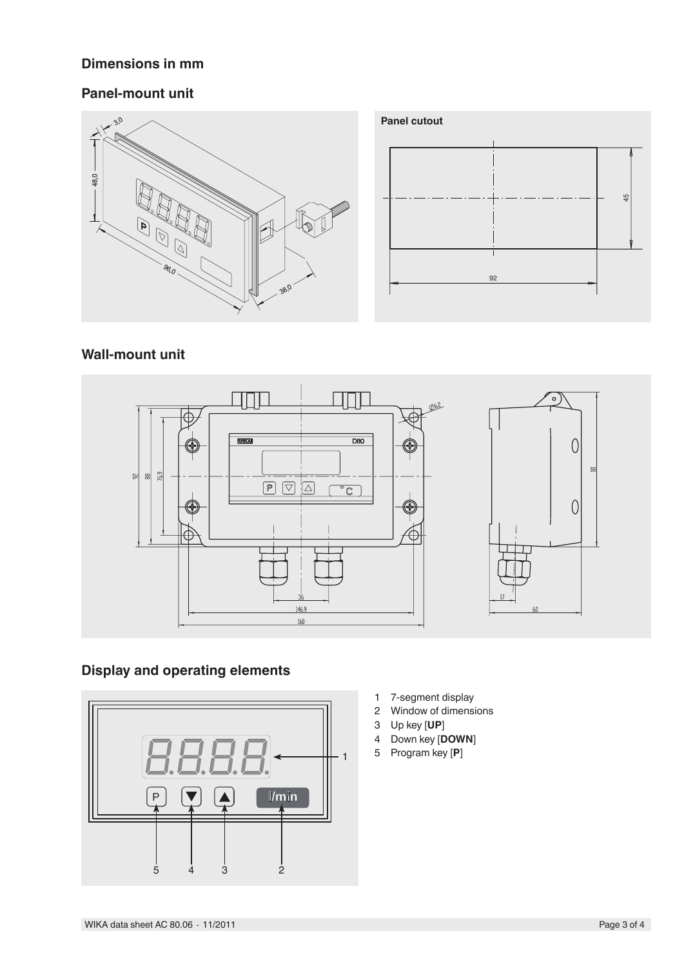### **Dimensions in mm**

#### **Panel-mount unit**





### **Wall-mount unit**



## **Display and operating elements**



- 1 7-segment display
- 2 Window of dimensions
- 3 Up key [**UP**]
- 4 Down key [**DOWN**]
- 5 Program key [**P**]